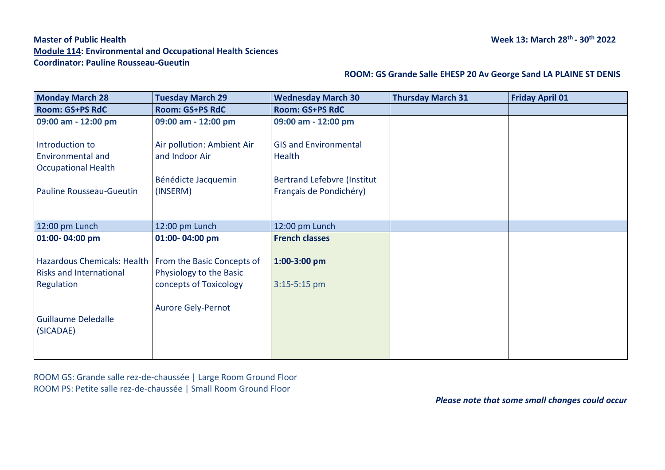# **Master of Public Health Module 114: Environmental and Occupational Health Sciences Coordinator: Pauline Rousseau-Gueutin**

| <b>Monday March 28</b>                                                                                   | <b>Tuesday March 29</b>                           | <b>Wednesday March 30</b>                              | <b>Thursday March 31</b> | <b>Friday April 01</b> |
|----------------------------------------------------------------------------------------------------------|---------------------------------------------------|--------------------------------------------------------|--------------------------|------------------------|
| <b>Room: GS+PS RdC</b>                                                                                   | <b>Room: GS+PS RdC</b>                            | <b>Room: GS+PS RdC</b>                                 |                          |                        |
| 09:00 am - 12:00 pm                                                                                      | 09:00 am - 12:00 pm                               | 09:00 am - 12:00 pm                                    |                          |                        |
| Introduction to<br><b>Environmental and</b><br><b>Occupational Health</b>                                | Air pollution: Ambient Air<br>and Indoor Air      | <b>GIS and Environmental</b><br>Health                 |                          |                        |
| <b>Pauline Rousseau-Gueutin</b>                                                                          | Bénédicte Jacquemin<br>(INSERM)                   | Bertrand Lefebvre (Institut<br>Français de Pondichéry) |                          |                        |
| 12:00 pm Lunch                                                                                           | 12:00 pm Lunch                                    | 12:00 pm Lunch                                         |                          |                        |
| 01:00-04:00 pm                                                                                           | 01:00-04:00 pm                                    | <b>French classes</b>                                  |                          |                        |
| Hazardous Chemicals: Health   From the Basic Concepts of<br><b>Risks and International</b><br>Regulation | Physiology to the Basic<br>concepts of Toxicology | 1:00-3:00 pm<br>3:15-5:15 pm                           |                          |                        |
| <b>Guillaume Deledalle</b><br>(SICADAE)                                                                  | <b>Aurore Gely-Pernot</b>                         |                                                        |                          |                        |

 **ROOM: GS Grande Salle EHESP 20 Av George Sand LA PLAINE ST DENIS**

ROOM GS: Grande salle rez-de-chaussée | Large Room Ground Floor ROOM PS: Petite salle rez-de-chaussée | Small Room Ground Floor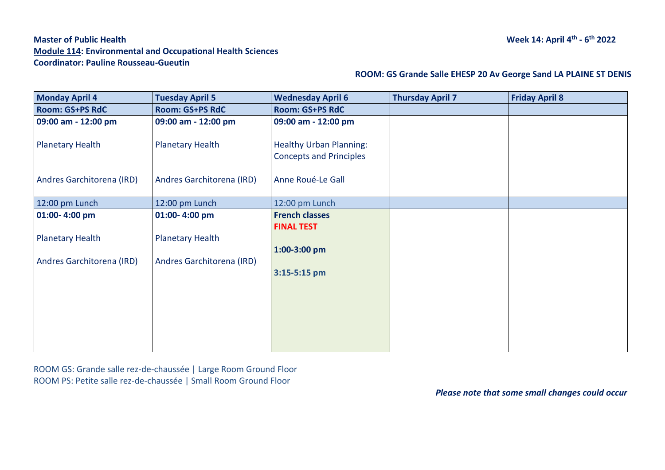# **Master of Public Health Module 114: Environmental and Occupational Health Sciences Coordinator: Pauline Rousseau-Gueutin**

### **ROOM: GS Grande Salle EHESP 20 Av George Sand LA PLAINE ST DENIS**

| <b>Monday April 4</b>     | <b>Tuesday April 5</b>    | <b>Wednesday April 6</b>                                         | <b>Thursday April 7</b> | <b>Friday April 8</b> |
|---------------------------|---------------------------|------------------------------------------------------------------|-------------------------|-----------------------|
| <b>Room: GS+PS RdC</b>    | <b>Room: GS+PS RdC</b>    | <b>Room: GS+PS RdC</b>                                           |                         |                       |
| 09:00 am - 12:00 pm       | 09:00 am - 12:00 pm       | 09:00 am - 12:00 pm                                              |                         |                       |
| <b>Planetary Health</b>   | <b>Planetary Health</b>   | <b>Healthy Urban Planning:</b><br><b>Concepts and Principles</b> |                         |                       |
| Andres Garchitorena (IRD) | Andres Garchitorena (IRD) | Anne Roué-Le Gall                                                |                         |                       |
| 12:00 pm Lunch            | 12:00 pm Lunch            | 12:00 pm Lunch                                                   |                         |                       |
| 01:00-4:00 pm             | 01:00-4:00 pm             | <b>French classes</b>                                            |                         |                       |
|                           |                           | <b>FINAL TEST</b>                                                |                         |                       |
| <b>Planetary Health</b>   | <b>Planetary Health</b>   |                                                                  |                         |                       |
|                           |                           | 1:00-3:00 pm                                                     |                         |                       |
| Andres Garchitorena (IRD) | Andres Garchitorena (IRD) |                                                                  |                         |                       |
|                           |                           |                                                                  |                         |                       |
|                           |                           |                                                                  |                         |                       |
|                           |                           |                                                                  |                         |                       |
|                           |                           |                                                                  |                         |                       |
|                           |                           |                                                                  |                         |                       |
|                           |                           |                                                                  |                         |                       |
|                           |                           | 3:15-5:15 pm                                                     |                         |                       |

ROOM GS: Grande salle rez-de-chaussée | Large Room Ground Floor ROOM PS: Petite salle rez-de-chaussée | Small Room Ground Floor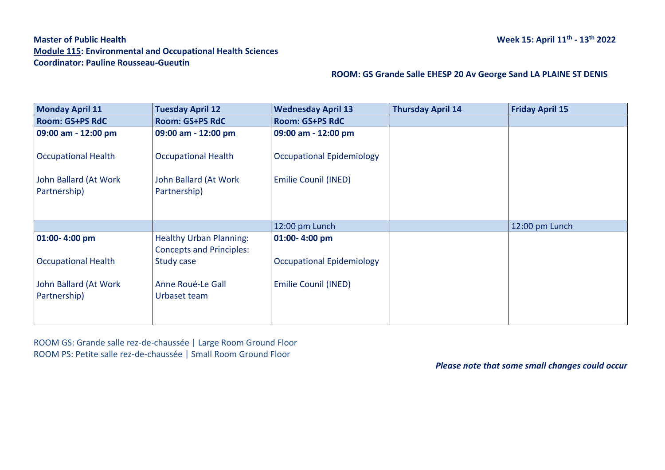# **Master of Public Health Module 115: Environmental and Occupational Health Sciences Coordinator: Pauline Rousseau-Gueutin**

### **ROOM: GS Grande Salle EHESP 20 Av George Sand LA PLAINE ST DENIS**

| <b>Monday April 11</b>     | <b>Tuesday April 12</b>         | <b>Wednesday April 13</b>        | <b>Thursday April 14</b> | <b>Friday April 15</b> |
|----------------------------|---------------------------------|----------------------------------|--------------------------|------------------------|
| <b>Room: GS+PS RdC</b>     | <b>Room: GS+PS RdC</b>          | <b>Room: GS+PS RdC</b>           |                          |                        |
| 09:00 am - 12:00 pm        | 09:00 am - 12:00 pm             | 09:00 am - 12:00 pm              |                          |                        |
| <b>Occupational Health</b> | <b>Occupational Health</b>      | <b>Occupational Epidemiology</b> |                          |                        |
| John Ballard (At Work      | John Ballard (At Work           | Emilie Counil (INED)             |                          |                        |
| Partnership)               | Partnership)                    |                                  |                          |                        |
|                            |                                 |                                  |                          |                        |
|                            |                                 | 12:00 pm Lunch                   |                          | 12:00 pm Lunch         |
| 01:00-4:00 pm              | <b>Healthy Urban Planning:</b>  | 01:00-4:00 pm                    |                          |                        |
|                            | <b>Concepts and Principles:</b> |                                  |                          |                        |
| <b>Occupational Health</b> | Study case                      | <b>Occupational Epidemiology</b> |                          |                        |
| John Ballard (At Work      | Anne Roué-Le Gall               | Emilie Counil (INED)             |                          |                        |
| Partnership)               | Urbaset team                    |                                  |                          |                        |
|                            |                                 |                                  |                          |                        |
|                            |                                 |                                  |                          |                        |

ROOM GS: Grande salle rez-de-chaussée | Large Room Ground Floor ROOM PS: Petite salle rez-de-chaussée | Small Room Ground Floor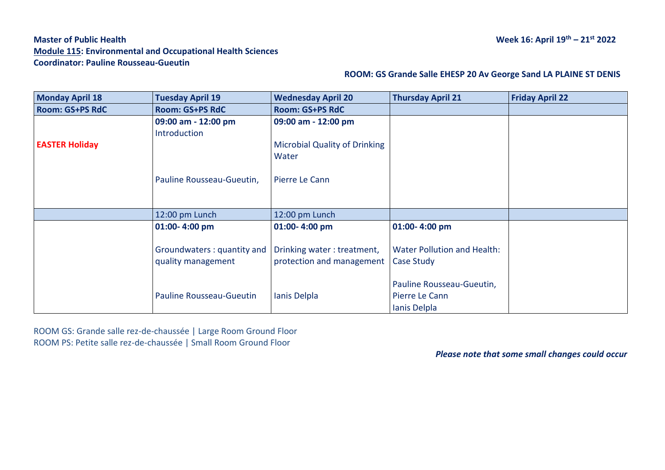# **Master of Public Health Week 16: April 19th – 21st 2022 Module 115: Environmental and Occupational Health Sciences Coordinator: Pauline Rousseau-Gueutin**

### **ROOM: GS Grande Salle EHESP 20 Av George Sand LA PLAINE ST DENIS**

| <b>Monday April 18</b> | <b>Tuesday April 19</b>         | <b>Wednesday April 20</b>            | <b>Thursday April 21</b>           | <b>Friday April 22</b> |
|------------------------|---------------------------------|--------------------------------------|------------------------------------|------------------------|
| <b>Room: GS+PS RdC</b> | <b>Room: GS+PS RdC</b>          | <b>Room: GS+PS RdC</b>               |                                    |                        |
|                        | 09:00 am - 12:00 pm             | 09:00 am - 12:00 pm                  |                                    |                        |
|                        | Introduction                    |                                      |                                    |                        |
| <b>EASTER Holiday</b>  |                                 | <b>Microbial Quality of Drinking</b> |                                    |                        |
|                        |                                 | Water                                |                                    |                        |
|                        |                                 |                                      |                                    |                        |
|                        | Pauline Rousseau-Gueutin,       | Pierre Le Cann                       |                                    |                        |
|                        |                                 |                                      |                                    |                        |
|                        |                                 |                                      |                                    |                        |
|                        | 12:00 pm Lunch                  | 12:00 pm Lunch                       |                                    |                        |
|                        | 01:00-4:00 pm                   | 01:00-4:00 pm                        | 01:00-4:00 pm                      |                        |
|                        |                                 |                                      |                                    |                        |
|                        | Groundwaters: quantity and      | Drinking water: treatment,           | <b>Water Pollution and Health:</b> |                        |
|                        | quality management              | protection and management            | Case Study                         |                        |
|                        |                                 |                                      |                                    |                        |
|                        |                                 |                                      | Pauline Rousseau-Gueutin,          |                        |
|                        | <b>Pauline Rousseau-Gueutin</b> | Ianis Delpla                         | Pierre Le Cann                     |                        |
|                        |                                 |                                      | Ianis Delpla                       |                        |

ROOM GS: Grande salle rez-de-chaussée | Large Room Ground Floor ROOM PS: Petite salle rez-de-chaussée | Small Room Ground Floor